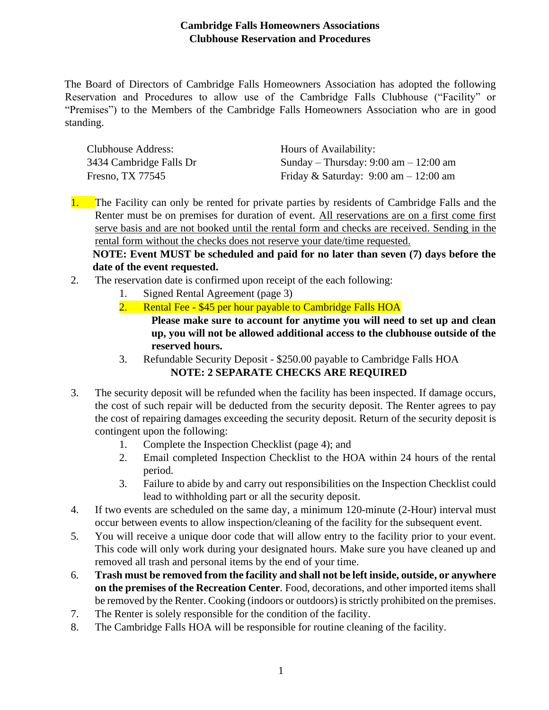## **Cambridge Falls Homeowners Associations Clubhouse Reservation and Procedures**

The Board of Directors of Cambridge Falls Homeowners Association has adopted the following Reservation and Procedures to allow use of the Cambridge Falls Clubhouse ("Facility" or "Premises") to the Members of the Cambridge Falls Homeowners Association who are in good standing.

| Clubhouse Address:      | Hours of Availability:                                  |
|-------------------------|---------------------------------------------------------|
| 3434 Cambridge Falls Dr | Sunday – Thursday: $9:00 \text{ am} - 12:00 \text{ am}$ |
| Fresno, TX 77545        | Friday & Saturday: $9:00 \text{ am} - 12:00 \text{ am}$ |

1. The Facility can only be rented for private parties by residents of Cambridge Falls and the Renter must be on premises for duration of event. All reservations are on a first come first serve basis and are not booked until the rental form and checks are received. Sending in the rental form without the checks does not reserve your date/time requested.

**NOTE: Event MUST be scheduled and paid for no later than seven (7) days before the date of the event requested.**

- 2. The reservation date is confirmed upon receipt of the each following:
	- 1. Signed Rental Agreement (page 3)
	- 2. Rental Fee \$45 per hour payable to Cambridge Falls HOA **Please make sure to account for anytime you will need to set up and clean up, you will not be allowed additional access to the clubhouse outside of the reserved hours.**
	- 3. Refundable Security Deposit \$250.00 payable to Cambridge Falls HOA **NOTE: 2 SEPARATE CHECKS ARE REQUIRED**
- 3. The security deposit will be refunded when the facility has been inspected. If damage occurs, the cost of such repair will be deducted from the security deposit. The Renter agrees to pay the cost of repairing damages exceeding the security deposit. Return of the security deposit is contingent upon the following:
	- 1. Complete the Inspection Checklist (page 4); and
	- 2. Email completed Inspection Checklist to the HOA within 24 hours of the rental period.
	- 3. Failure to abide by and carry out responsibilities on the Inspection Checklist could lead to withholding part or all the security deposit.
- 4. If two events are scheduled on the same day, a minimum 120-minute (2-Hour) interval must occur between events to allow inspection/cleaning of the facility for the subsequent event.
- 5. You will receive a unique door code that will allow entry to the facility prior to your event. This code will only work during your designated hours. Make sure you have cleaned up and removed all trash and personal items by the end of your time.
- 6. **Trash must be removed from the facility and shall not be left inside, outside, or anywhere on the premises of the Recreation Center***.* Food, decorations, and other imported items shall be removed by the Renter. Cooking (indoors or outdoors) is strictly prohibited on the premises.
- 7. The Renter is solely responsible for the condition of the facility.
- 8. The Cambridge Falls HOA will be responsible for routine cleaning of the facility.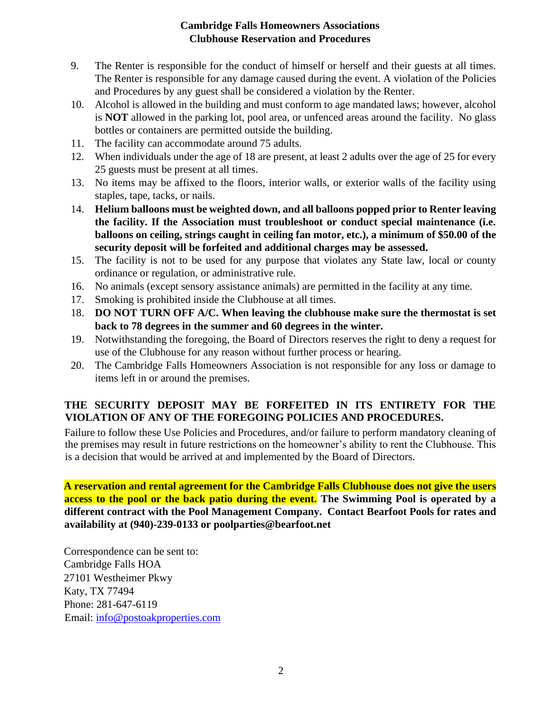## **Cambridge Falls Homeowners Associations Clubhouse Reservation and Procedures**

- 9. The Renter is responsible for the conduct of himself or herself and their guests at all times. The Renter is responsible for any damage caused during the event. A violation of the Policies and Procedures by any guest shall be considered a violation by the Renter.
- 10. Alcohol is allowed in the building and must conform to age mandated laws; however, alcohol is **NOT** allowed in the parking lot, pool area, or unfenced areas around the facility. No glass bottles or containers are permitted outside the building.
- 11. The facility can accommodate around 75 adults.
- 12. When individuals under the age of 18 are present, at least 2 adults over the age of 25 for every 25 guests must be present at all times.
- 13. No items may be affixed to the floors, interior walls, or exterior walls of the facility using staples, tape, tacks, or nails.
- 14. **Helium balloons must be weighted down, and all balloons popped prior to Renter leaving the facility. If the Association must troubleshoot or conduct special maintenance (i.e. balloons on ceiling, strings caught in ceiling fan motor, etc.), a minimum of \$50.00 of the security deposit will be forfeited and additional charges may be assessed.**
- 15. The facility is not to be used for any purpose that violates any State law, local or county ordinance or regulation, or administrative rule.
- 16. No animals (except sensory assistance animals) are permitted in the facility at any time.
- 17. Smoking is prohibited inside the Clubhouse at all times.
- 18. **DO NOT TURN OFF A/C. When leaving the clubhouse make sure the thermostat is set back to 78 degrees in the summer and 60 degrees in the winter.**
- 19. Notwithstanding the foregoing, the Board of Directors reserves the right to deny a request for use of the Clubhouse for any reason without further process or hearing.
- 20. The Cambridge Falls Homeowners Association is not responsible for any loss or damage to items left in or around the premises.

## **THE SECURITY DEPOSIT MAY BE FORFEITED IN ITS ENTIRETY FOR THE VIOLATION OF ANY OF THE FOREGOING POLICIES AND PROCEDURES.**

Failure to follow these Use Policies and Procedures, and/or failure to perform mandatory cleaning of the premises may result in future restrictions on the homeowner's ability to rent the Clubhouse. This is a decision that would be arrived at and implemented by the Board of Directors.

**A reservation and rental agreement for the Cambridge Falls Clubhouse does not give the users access to the pool or the back patio during the event. The Swimming Pool is operated by a different contract with the Pool Management Company. Contact Bearfoot Pools for rates and availability at (940)-239-0133 or poolparties@bearfoot.net**

Correspondence can be sent to: Cambridge Falls HOA 27101 Westheimer Pkwy Katy, TX 77494 Phone: 281-647-6119 Email: info@postoakproperties.com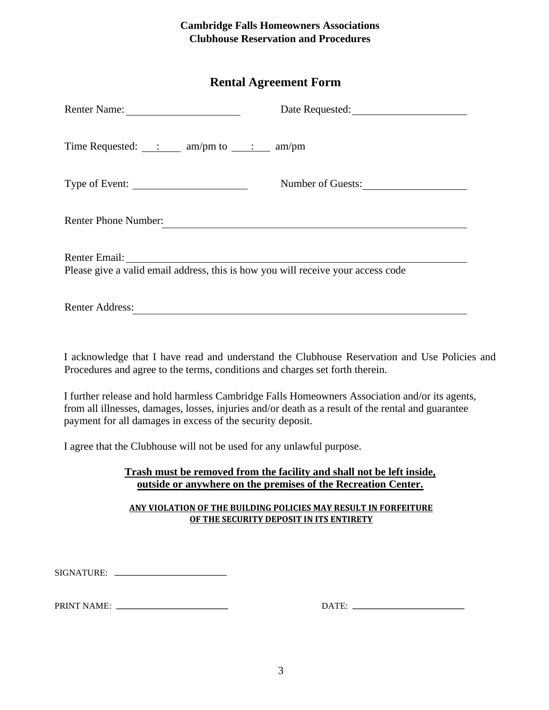## **Cambridge Falls Homeowners Associations Clubhouse Reservation and Procedures**

## **Rental Agreement Form**

| Renter Name:                                                                                                    | Date Requested:   |  |
|-----------------------------------------------------------------------------------------------------------------|-------------------|--|
| Time Requested: $\qquad \qquad$ : $\qquad \qquad$ am/pm to $\qquad \qquad$ : $\qquad \qquad$ am/pm              |                   |  |
| Type of Event:                                                                                                  | Number of Guests: |  |
| <b>Renter Phone Number:</b>                                                                                     |                   |  |
| Renter Email: Next Assembly<br>Please give a valid email address, this is how you will receive your access code |                   |  |
| <b>Renter Address:</b>                                                                                          |                   |  |

I acknowledge that I have read and understand the Clubhouse Reservation and Use Policies and Procedures and agree to the terms, conditions and charges set forth therein.

I further release and hold harmless Cambridge Falls Homeowners Association and/or its agents, from all illnesses, damages, losses, injuries and/or death as a result of the rental and guarantee payment for all damages in excess of the security deposit.

I agree that the Clubhouse will not be used for any unlawful purpose.

## **Trash must be removed from the facility and shall not be left inside, outside or anywhere on the premises of the Recreation Center.**

#### **ANY VIOLATION OF THE BUILDING POLICIES MAY RESULT IN FORFEITURE OF THE SECURITY DEPOSIT IN ITS ENTIRETY**

SIGNATURE:

PRINT NAME: DATE: